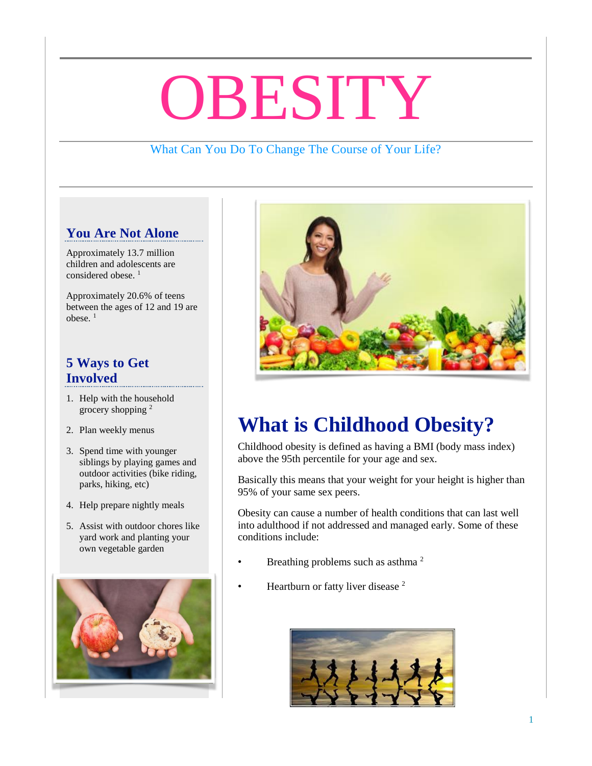# OBESITY

### What Can You Do To Change The Course of Your Life?

# **You Are Not Alone**

Approximately 13.7 million children and adolescents are considered obese.<sup>1</sup>

Approximately 20.6% of teens between the ages of 12 and 19 are obese. <sup>1</sup>

#### **5 Ways to Get Involved**

- 1. Help with the household grocery shopping <sup>2</sup>
- 2. Plan weekly menus
- 3. Spend time with younger siblings by playing games and outdoor activities (bike riding, parks, hiking, etc)
- 4. Help prepare nightly meals
- 5. Assist with outdoor chores like yard work and planting your own vegetable garden





# **What is Childhood Obesity?**

Childhood obesity is defined as having a BMI (body mass index) above the 95th percentile for your age and sex.

Basically this means that your weight for your height is higher than 95% of your same sex peers.

Obesity can cause a number of health conditions that can last well into adulthood if not addressed and managed early. Some of these conditions include:

- Breathing problems such as asthma<sup>2</sup>
	- Heartburn or fatty liver disease<sup>2</sup>

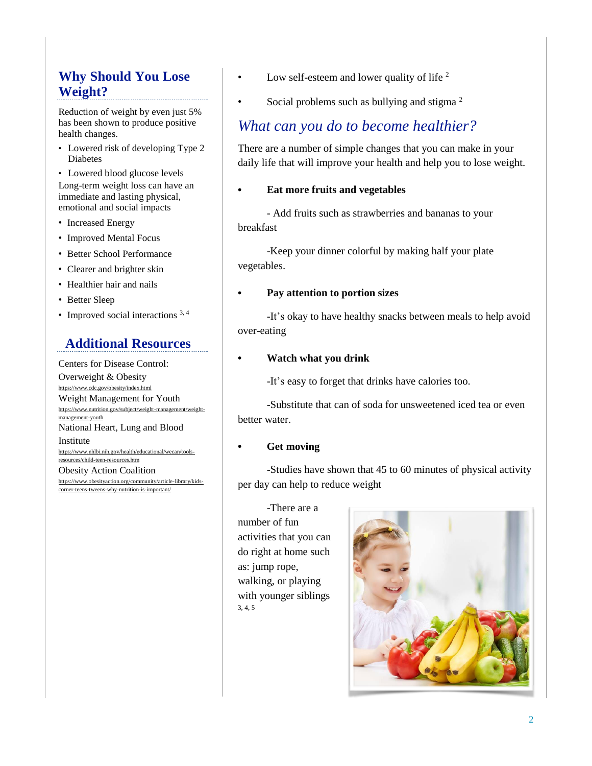# **Why Should You Lose Weight?**

Reduction of weight by even just 5% has been shown to produce positive health changes.

• Lowered risk of developing Type 2 Diabetes

• Lowered blood glucose levels Long-term weight loss can have an immediate and lasting physical, emotional and social impacts

- Increased Energy
- Improved Mental Focus
- Better School Performance
- Clearer and brighter skin
- Healthier hair and nails
- Better Sleep
- Improved social interactions  $3, 4$

#### **Additional Resources**

Centers for Disease Control: Overweight & Obesity //www.cdc.gov/obesity/index.html Weight Management for Youth [https://www.nutrition.gov/subject/weight-management/weight](https://www.nutrition.gov/subject/weight-management/weight-management-youth)[management-youth](https://www.nutrition.gov/subject/weight-management/weight-management-youth) National Heart, Lung and Blood Institute https://www.nhlbi.nih.gov/health/e [resources/child-teen-resources.htm](https://www.nhlbi.nih.gov/health/educational/wecan/tools-resources/child-teen-resources.htm) Obesity Action Coalition [https://www.obesityaction.org/community/article-library/kids](https://www.obesityaction.org/community/article-library/kids-corner-teens-tweens-why-nutrition-is-important/)[corner-teens-tweens-why-nutrition-is-important/](https://www.obesityaction.org/community/article-library/kids-corner-teens-tweens-why-nutrition-is-important/)

- Low self-esteem and lower quality of life  $2$
- Social problems such as bullying and stigma<sup>2</sup>

## *What can you do to become healthier?*

There are a number of simple changes that you can make in your daily life that will improve your health and help you to lose weight.

#### • **Eat more fruits and vegetables**

- Add fruits such as strawberries and bananas to your breakfast

-Keep your dinner colorful by making half your plate vegetables.

#### • **Pay attention to portion sizes**

-It's okay to have healthy snacks between meals to help avoid over-eating

#### • **Watch what you drink**

-It's easy to forget that drinks have calories too.

-Substitute that can of soda for unsweetened iced tea or even better water.

#### • **Get moving**

-Studies have shown that 45 to 60 minutes of physical activity per day can help to reduce weight

-There are a number of fun activities that you can do right at home such as: jump rope, walking, or playing with younger siblings 3, 4, 5

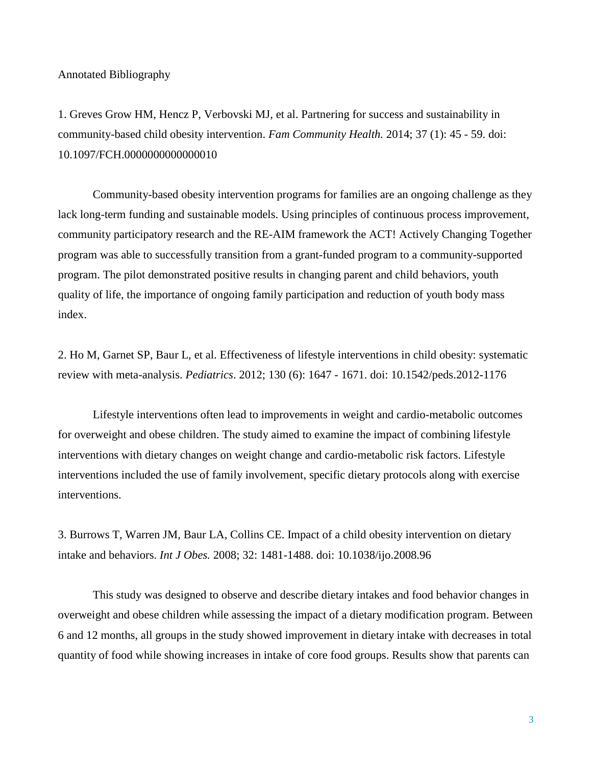Annotated Bibliography

1. Greves Grow HM, Hencz P, Verbovski MJ, et al. Partnering for success and sustainability in community-based child obesity intervention. *Fam Community Health.* 2014; 37 (1): 45 - 59. doi: 10.1097/FCH.0000000000000010

Community-based obesity intervention programs for families are an ongoing challenge as they lack long-term funding and sustainable models. Using principles of continuous process improvement, community participatory research and the RE-AIM framework the ACT! Actively Changing Together program was able to successfully transition from a grant-funded program to a community-supported program. The pilot demonstrated positive results in changing parent and child behaviors, youth quality of life, the importance of ongoing family participation and reduction of youth body mass index.

2. Ho M, Garnet SP, Baur L, et al. Effectiveness of lifestyle interventions in child obesity: systematic review with meta-analysis. *Pediatrics*. 2012; 130 (6): 1647 - 1671. doi: 10.1542/peds.2012-1176

Lifestyle interventions often lead to improvements in weight and cardio-metabolic outcomes for overweight and obese children. The study aimed to examine the impact of combining lifestyle interventions with dietary changes on weight change and cardio-metabolic risk factors. Lifestyle interventions included the use of family involvement, specific dietary protocols along with exercise interventions.

3. Burrows T, Warren JM, Baur LA, Collins CE. Impact of a child obesity intervention on dietary intake and behaviors. *Int J Obes.* 2008; 32: 1481-1488. doi: 10.1038/ijo.2008.96

This study was designed to observe and describe dietary intakes and food behavior changes in overweight and obese children while assessing the impact of a dietary modification program. Between 6 and 12 months, all groups in the study showed improvement in dietary intake with decreases in total quantity of food while showing increases in intake of core food groups. Results show that parents can